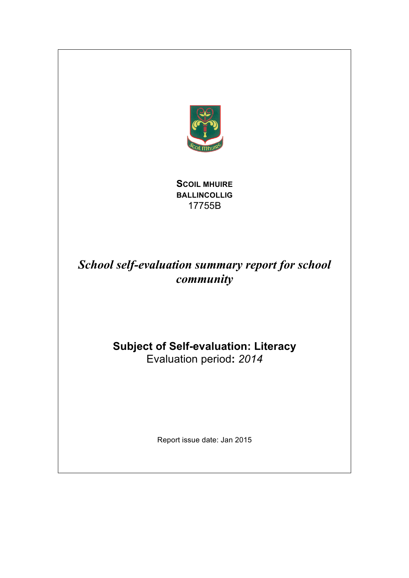

**SCOIL MHUIRE BALLINCOLLIG** 17755B

## *School self-evaluation summary report for school community*

# **Subject of Self-evaluation: Literacy**

Evaluation period**:** *2014*

Report issue date: Jan 2015